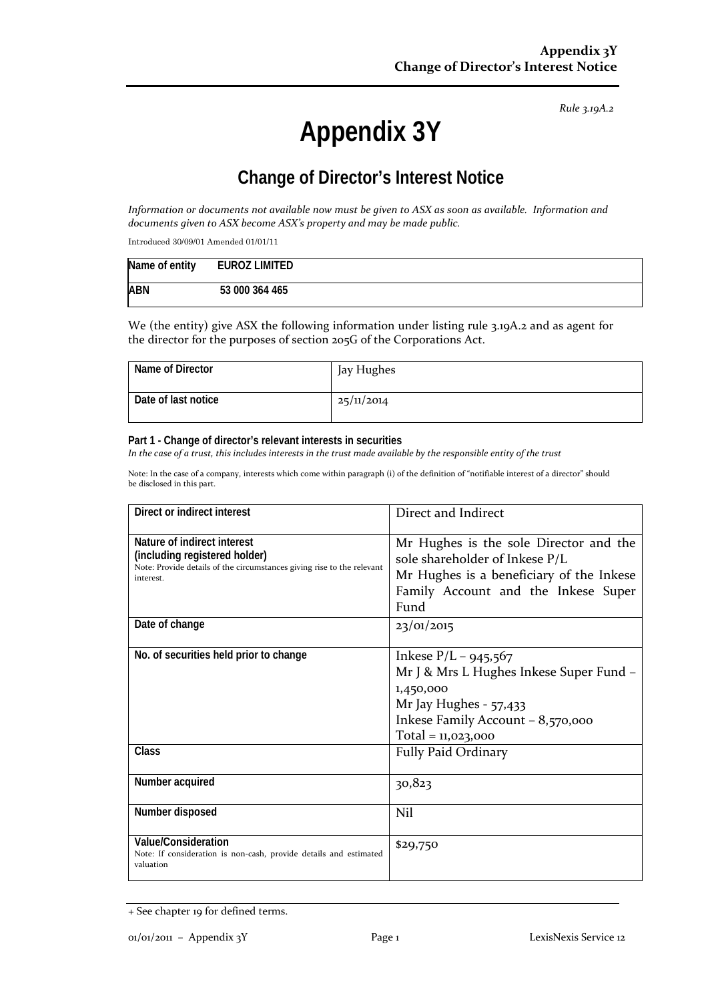# **Appendix 3Y**

## **Change of Director's Interest Notice**

*Information or documents not available now must be given to ASX as soon as available. Information and documents given to ASX become ASX's property and may be made public.*

Introduced 30/09/01 Amended 01/01/11

| Name of entity | EUROZ LIMITED  |
|----------------|----------------|
| <b>ABN</b>     | 53 000 364 465 |

We (the entity) give ASX the following information under listing rule 3.19A.2 and as agent for the director for the purposes of section 205G of the Corporations Act.

| Name of Director    | Jay Hughes |
|---------------------|------------|
| Date of last notice | 25/11/2014 |

#### **Part 1 - Change of director's relevant interests in securities**

*In the case of a trust, this includes interests in the trust made available by the responsible entity of the trust*

| Direct or indirect interest                                                                                                                         | Direct and Indirect                                                                                                                                                   |
|-----------------------------------------------------------------------------------------------------------------------------------------------------|-----------------------------------------------------------------------------------------------------------------------------------------------------------------------|
| Nature of indirect interest<br>(including registered holder)<br>Note: Provide details of the circumstances giving rise to the relevant<br>interest. | Mr Hughes is the sole Director and the<br>sole shareholder of Inkese P/L<br>Mr Hughes is a beneficiary of the Inkese<br>Family Account and the Inkese Super<br>Fund   |
| Date of change                                                                                                                                      | 23/01/2015                                                                                                                                                            |
| No. of securities held prior to change                                                                                                              | Inkese $P/L - 945,567$<br>Mr J & Mrs L Hughes Inkese Super Fund -<br>1,450,000<br>Mr Jay Hughes - 57,433<br>Inkese Family Account - 8,570,000<br>$Total = 11,023,000$ |
| Class                                                                                                                                               | <b>Fully Paid Ordinary</b>                                                                                                                                            |
| Number acquired                                                                                                                                     | 30,823                                                                                                                                                                |
| Number disposed                                                                                                                                     | Nil                                                                                                                                                                   |
| Value/Consideration<br>Note: If consideration is non-cash, provide details and estimated<br>valuation                                               | \$29,750                                                                                                                                                              |

<sup>+</sup> See chapter 19 for defined terms.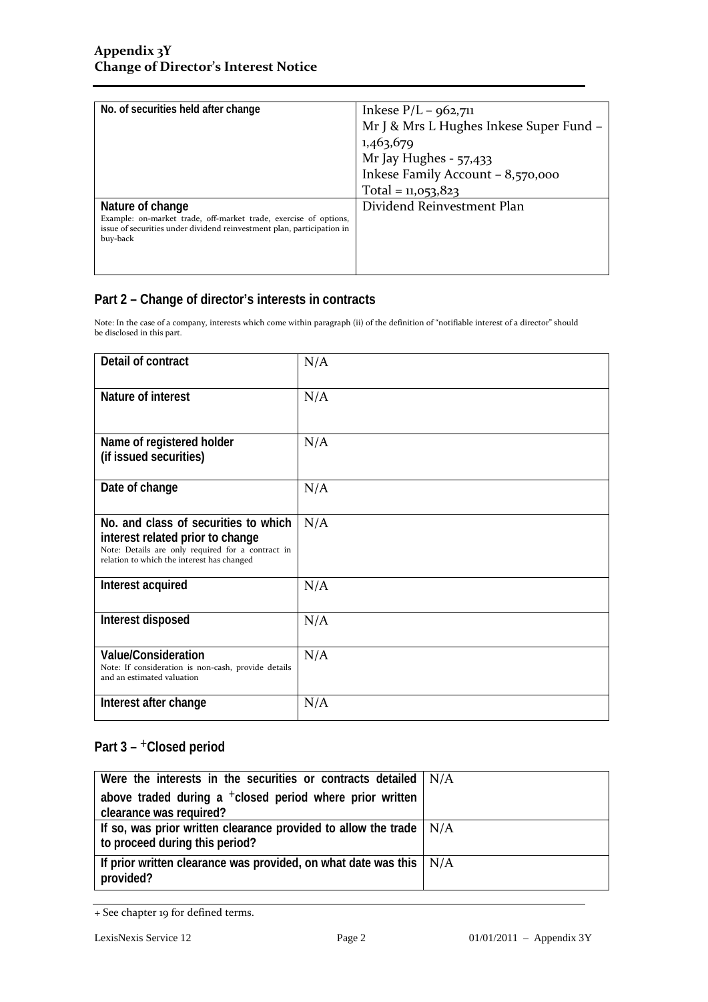| No. of securities held after change                                                | Inkese $P/L - 962,711$                  |
|------------------------------------------------------------------------------------|-----------------------------------------|
|                                                                                    | Mr J & Mrs L Hughes Inkese Super Fund - |
|                                                                                    | 1,463,679                               |
|                                                                                    | Mr Jay Hughes - 57,433                  |
|                                                                                    | Inkese Family Account - 8,570,000       |
|                                                                                    | Total = $11,053,823$                    |
| Nature of change                                                                   | Dividend Reinvestment Plan              |
| Example: on-market trade, off-market trade, exercise of options,                   |                                         |
| issue of securities under dividend reinvestment plan, participation in<br>buy-back |                                         |
|                                                                                    |                                         |
|                                                                                    |                                         |

Note: In the case of a company, interests which come within paragraph (ii) of the definition of "notifiable interest of a director" should be disclosed in this part.

| Detail of contract                                                                                                                                                          | N/A |
|-----------------------------------------------------------------------------------------------------------------------------------------------------------------------------|-----|
| Nature of interest                                                                                                                                                          | N/A |
| Name of registered holder<br>(if issued securities)                                                                                                                         | N/A |
| Date of change                                                                                                                                                              | N/A |
| No. and class of securities to which<br>interest related prior to change<br>Note: Details are only required for a contract in<br>relation to which the interest has changed | N/A |
| Interest acquired                                                                                                                                                           | N/A |
| Interest disposed                                                                                                                                                           | N/A |
| <b>Value/Consideration</b><br>Note: If consideration is non-cash, provide details<br>and an estimated valuation                                                             | N/A |
| Interest after change                                                                                                                                                       | N/A |

| Were the interests in the securities or contracts detailed $  N/A$                                          |  |
|-------------------------------------------------------------------------------------------------------------|--|
| above traded during a $+$ closed period where prior written                                                 |  |
| clearance was required?                                                                                     |  |
| If so, was prior written clearance provided to allow the trade $\mid N/A$<br>to proceed during this period? |  |
| If prior written clearance was provided, on what date was this $\mid N/A \rangle$<br>provided?              |  |

<sup>+</sup> See chapter 19 for defined terms.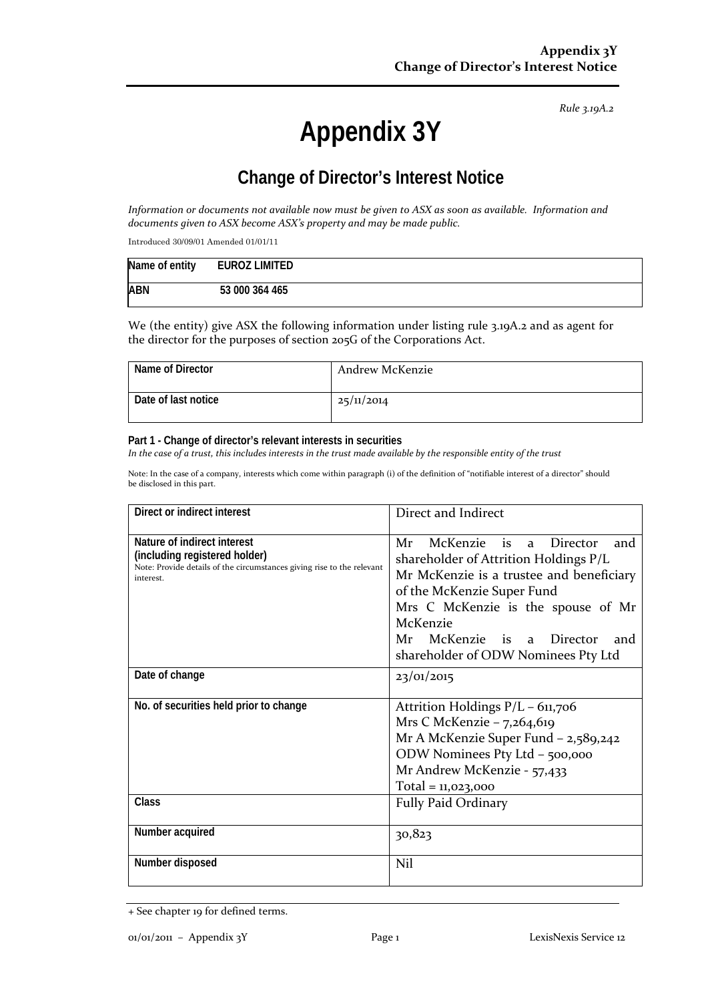# **Appendix 3Y**

## **Change of Director's Interest Notice**

*Information or documents not available now must be given to ASX as soon as available. Information and documents given to ASX become ASX's property and may be made public.*

Introduced 30/09/01 Amended 01/01/11

| Name of entity | <b>EUROZ LIMITED</b> |  |
|----------------|----------------------|--|
| <b>ABN</b>     | 53 000 364 465       |  |

We (the entity) give ASX the following information under listing rule 3.19A.2 and as agent for the director for the purposes of section 205G of the Corporations Act.

| Name of Director    | Andrew McKenzie |
|---------------------|-----------------|
| Date of last notice | 25/11/2014      |

#### **Part 1 - Change of director's relevant interests in securities**

*In the case of a trust, this includes interests in the trust made available by the responsible entity of the trust*

| Direct or indirect interest                                                                                                                         | Direct and Indirect                                                                                                                                                                                                                                                                                     |  |
|-----------------------------------------------------------------------------------------------------------------------------------------------------|---------------------------------------------------------------------------------------------------------------------------------------------------------------------------------------------------------------------------------------------------------------------------------------------------------|--|
| Nature of indirect interest<br>(including registered holder)<br>Note: Provide details of the circumstances giving rise to the relevant<br>interest. | McKenzie is<br>Mr<br>Director<br>and<br>$\mathbf{a}$<br>shareholder of Attrition Holdings P/L<br>Mr McKenzie is a trustee and beneficiary<br>of the McKenzie Super Fund<br>Mrs C McKenzie is the spouse of Mr<br>McKenzie<br>McKenzie is a Director<br>Mr<br>and<br>shareholder of ODW Nominees Pty Ltd |  |
| Date of change                                                                                                                                      | 23/01/2015                                                                                                                                                                                                                                                                                              |  |
| No. of securities held prior to change                                                                                                              | Attrition Holdings P/L - 611,706<br>Mrs C McKenzie – $7,264,619$<br>Mr A McKenzie Super Fund - 2,589,242<br>ODW Nominees Pty Ltd - 500,000<br>Mr Andrew McKenzie - 57,433<br>$Total = 11,023,000$                                                                                                       |  |
| Class                                                                                                                                               | <b>Fully Paid Ordinary</b>                                                                                                                                                                                                                                                                              |  |
| Number acquired                                                                                                                                     | 30,823                                                                                                                                                                                                                                                                                                  |  |
| Number disposed                                                                                                                                     | Nil                                                                                                                                                                                                                                                                                                     |  |

<sup>+</sup> See chapter 19 for defined terms.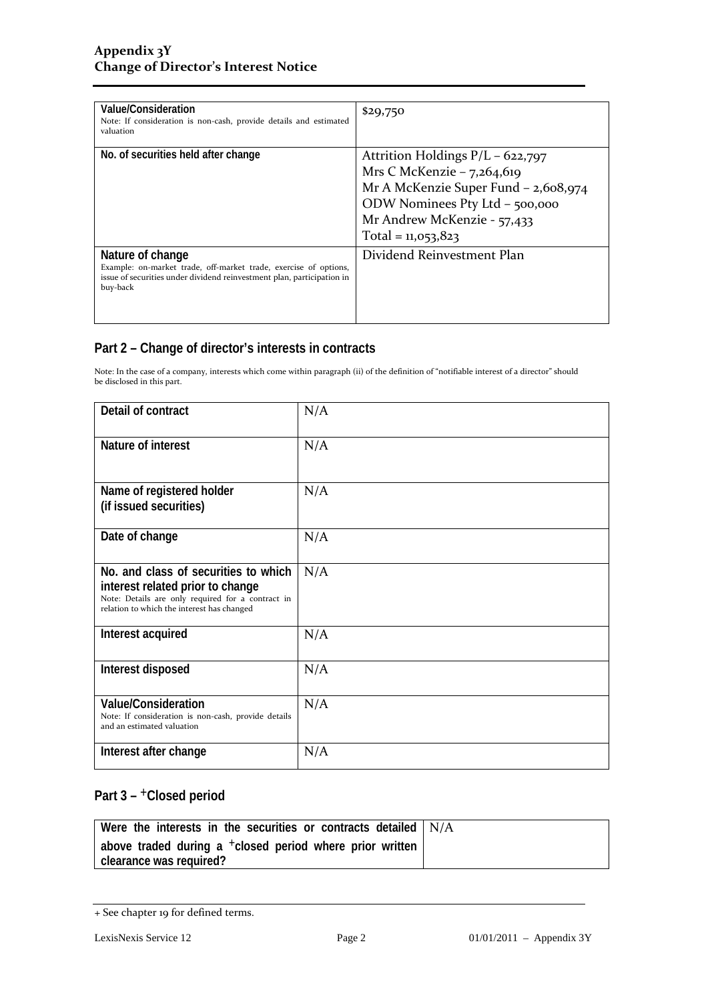| Value/Consideration<br>Note: If consideration is non-cash, provide details and estimated<br>valuation                                                                      | \$29,750                                                                                                                                                                                            |
|----------------------------------------------------------------------------------------------------------------------------------------------------------------------------|-----------------------------------------------------------------------------------------------------------------------------------------------------------------------------------------------------|
| No. of securities held after change                                                                                                                                        | Attrition Holdings $P/L - 622,797$<br>Mrs C McKenzie – $7,264,619$<br>Mr A McKenzie Super Fund - 2,608,974<br>ODW Nominees Pty Ltd - 500,000<br>Mr Andrew McKenzie - 57,433<br>Total = $11,053,823$ |
| Nature of change<br>Example: on-market trade, off-market trade, exercise of options,<br>issue of securities under dividend reinvestment plan, participation in<br>buy-back | Dividend Reinvestment Plan                                                                                                                                                                          |

Note: In the case of a company, interests which come within paragraph (ii) of the definition of "notifiable interest of a director" should be disclosed in this part.

| Detail of contract                                                                                                                                                          | N/A |
|-----------------------------------------------------------------------------------------------------------------------------------------------------------------------------|-----|
| Nature of interest                                                                                                                                                          | N/A |
| Name of registered holder<br>(if issued securities)                                                                                                                         | N/A |
| Date of change                                                                                                                                                              | N/A |
| No. and class of securities to which<br>interest related prior to change<br>Note: Details are only required for a contract in<br>relation to which the interest has changed | N/A |
| Interest acquired                                                                                                                                                           | N/A |
| Interest disposed                                                                                                                                                           | N/A |
| <b>Value/Consideration</b><br>Note: If consideration is non-cash, provide details<br>and an estimated valuation                                                             | N/A |
| Interest after change                                                                                                                                                       | N/A |

| Were the interests in the securities or contracts detailed N/A                                    |  |
|---------------------------------------------------------------------------------------------------|--|
| above traded during a <sup>+</sup> closed period where prior written<br>  clearance was required? |  |

<sup>+</sup> See chapter 19 for defined terms.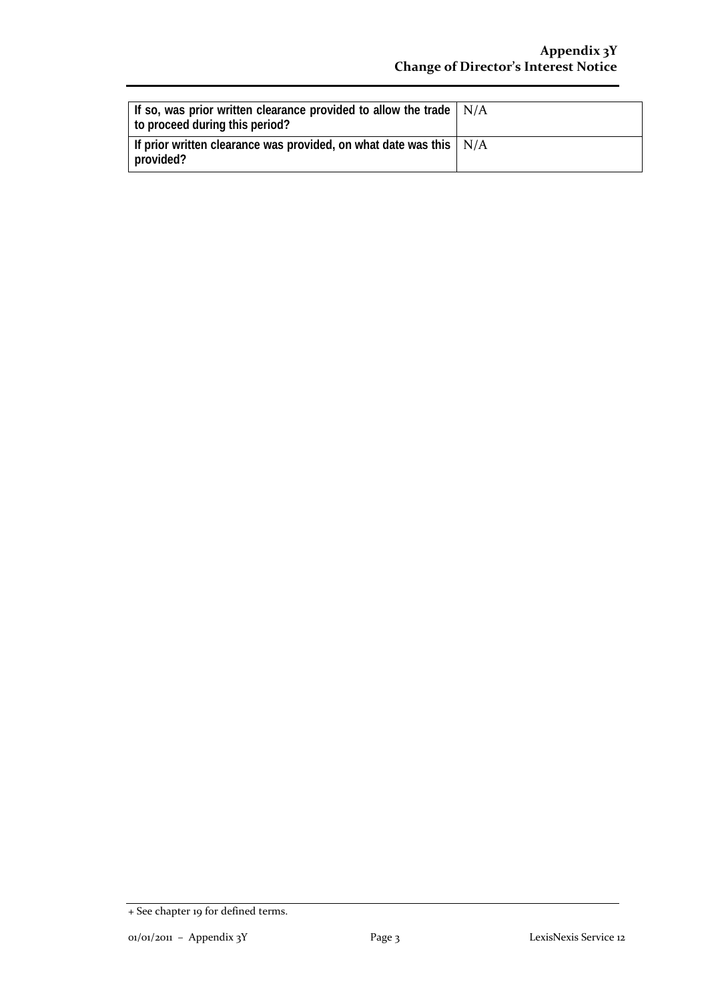| If so, was prior written clearance provided to allow the trade $\mid N/A$<br>to proceed during this period? |  |
|-------------------------------------------------------------------------------------------------------------|--|
| If prior written clearance was provided, on what date was this $\mid N/A \rangle$<br>provided?              |  |

<sup>+</sup> See chapter 19 for defined terms.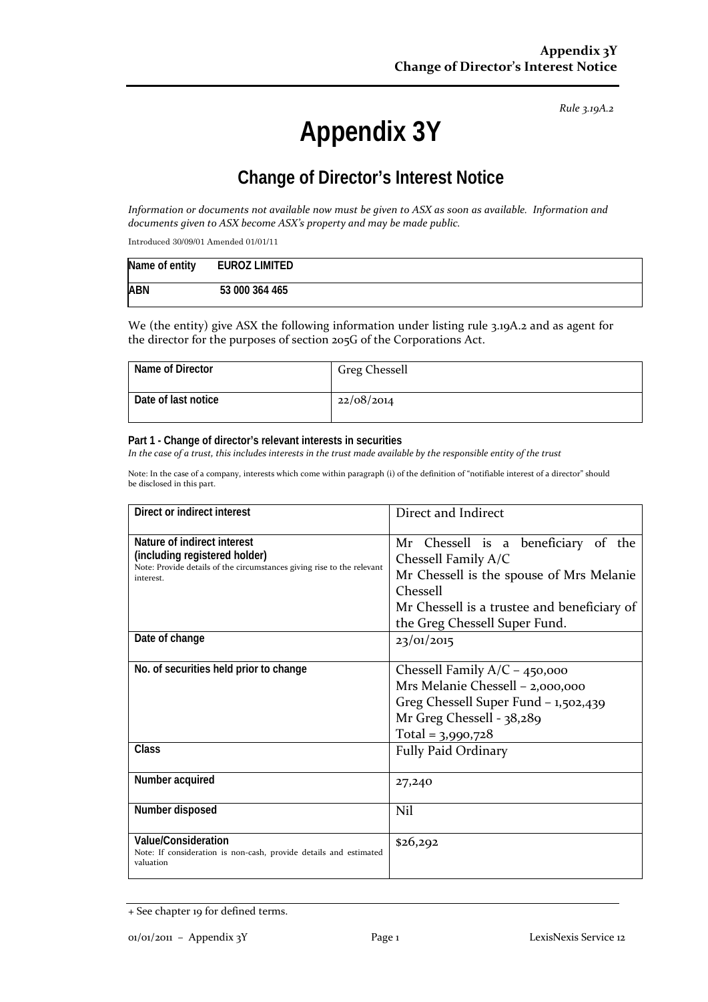# **Appendix 3Y**

## **Change of Director's Interest Notice**

*Information or documents not available now must be given to ASX as soon as available. Information and documents given to ASX become ASX's property and may be made public.*

Introduced 30/09/01 Amended 01/01/11

| Name of entity | <b>EUROZ LIMITED</b> |
|----------------|----------------------|
| <b>ABN</b>     | 53 000 364 465       |

We (the entity) give ASX the following information under listing rule 3.19A.2 and as agent for the director for the purposes of section 205G of the Corporations Act.

| Name of Director    | <b>Greg Chessell</b> |
|---------------------|----------------------|
| Date of last notice | 22/08/2014           |

#### **Part 1 - Change of director's relevant interests in securities**

*In the case of a trust, this includes interests in the trust made available by the responsible entity of the trust*

| Direct or indirect interest                                                                                                                         | Direct and Indirect                                                                                                                                                                                       |
|-----------------------------------------------------------------------------------------------------------------------------------------------------|-----------------------------------------------------------------------------------------------------------------------------------------------------------------------------------------------------------|
| Nature of indirect interest<br>(including registered holder)<br>Note: Provide details of the circumstances giving rise to the relevant<br>interest. | Mr Chessell is a beneficiary of the<br>Chessell Family A/C<br>Mr Chessell is the spouse of Mrs Melanie<br><b>Chessell</b><br>Mr Chessell is a trustee and beneficiary of<br>the Greg Chessell Super Fund. |
| Date of change                                                                                                                                      | 23/01/2015                                                                                                                                                                                                |
| No. of securities held prior to change                                                                                                              | Chessell Family $A/C - 450,000$<br>Mrs Melanie Chessell - 2,000,000<br>Greg Chessell Super Fund - 1,502,439<br>Mr Greg Chessell - 38,289<br>Total = $3,990,728$                                           |
| Class                                                                                                                                               | Fully Paid Ordinary                                                                                                                                                                                       |
| Number acquired                                                                                                                                     | 27,240                                                                                                                                                                                                    |
| Number disposed                                                                                                                                     | Nil                                                                                                                                                                                                       |
| Value/Consideration<br>Note: If consideration is non-cash, provide details and estimated<br>valuation                                               | \$26,292                                                                                                                                                                                                  |

<sup>+</sup> See chapter 19 for defined terms.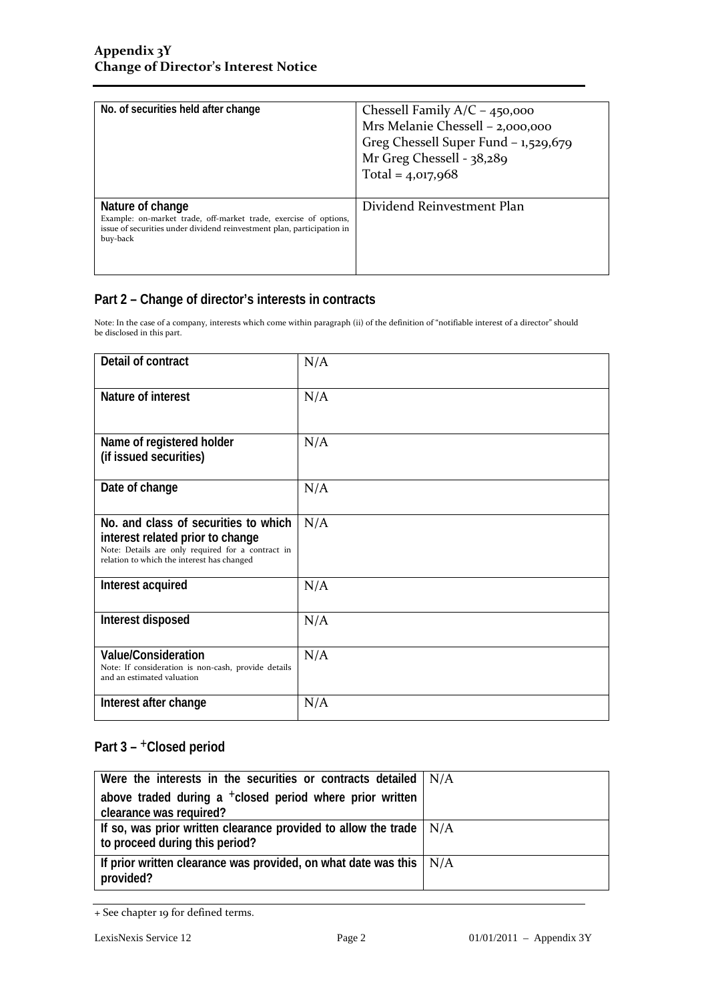| No. of securities held after change                                                                                                                                        | Chessell Family $A/C - 450,000$<br>Mrs Melanie Chessell - 2,000,000<br>Greg Chessell Super Fund - 1,529,679<br>Mr Greg Chessell - 38,289<br>Total = $4,017,968$ |
|----------------------------------------------------------------------------------------------------------------------------------------------------------------------------|-----------------------------------------------------------------------------------------------------------------------------------------------------------------|
| Nature of change<br>Example: on-market trade, off-market trade, exercise of options,<br>issue of securities under dividend reinvestment plan, participation in<br>buy-back | Dividend Reinvestment Plan                                                                                                                                      |

Note: In the case of a company, interests which come within paragraph (ii) of the definition of "notifiable interest of a director" should be disclosed in this part.

| Detail of contract                                                                                                                                                          | N/A |
|-----------------------------------------------------------------------------------------------------------------------------------------------------------------------------|-----|
| Nature of interest                                                                                                                                                          | N/A |
| Name of registered holder<br>(if issued securities)                                                                                                                         | N/A |
| Date of change                                                                                                                                                              | N/A |
| No. and class of securities to which<br>interest related prior to change<br>Note: Details are only required for a contract in<br>relation to which the interest has changed | N/A |
| Interest acquired                                                                                                                                                           | N/A |
| Interest disposed                                                                                                                                                           | N/A |
| <b>Value/Consideration</b><br>Note: If consideration is non-cash, provide details<br>and an estimated valuation                                                             | N/A |
| Interest after change                                                                                                                                                       | N/A |

| Were the interests in the securities or contracts detailed $  N/A$                                          |  |
|-------------------------------------------------------------------------------------------------------------|--|
| above traded during a $+$ closed period where prior written                                                 |  |
| clearance was required?                                                                                     |  |
| If so, was prior written clearance provided to allow the trade $\mid N/A$<br>to proceed during this period? |  |
| If prior written clearance was provided, on what date was this $\mid N/A$<br>provided?                      |  |

<sup>+</sup> See chapter 19 for defined terms.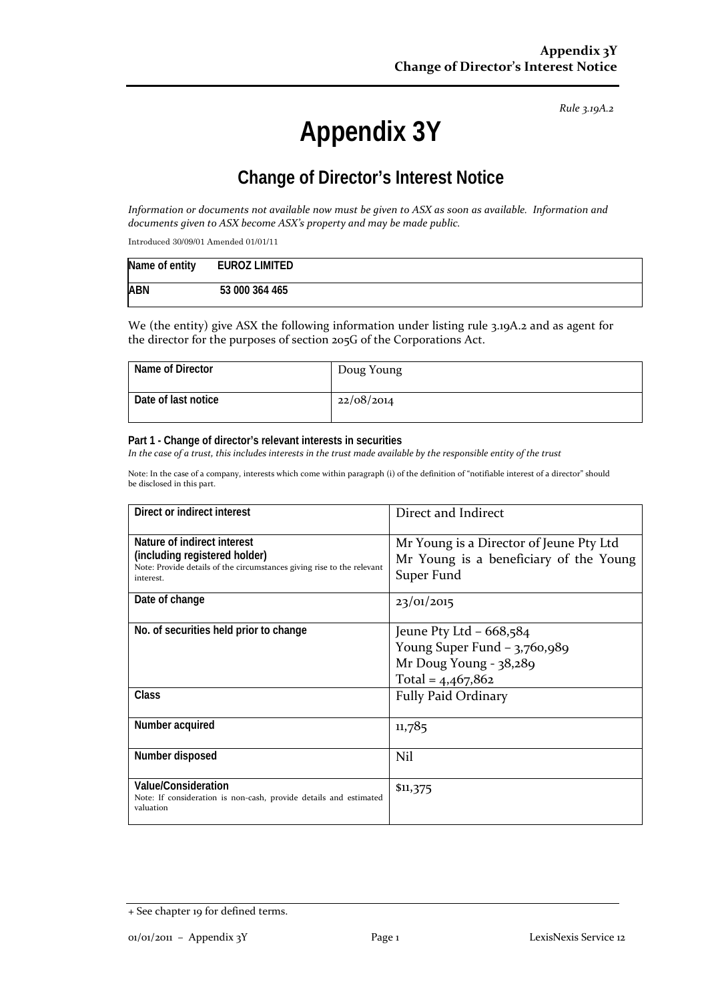# **Appendix 3Y**

## **Change of Director's Interest Notice**

*Information or documents not available now must be given to ASX as soon as available. Information and documents given to ASX become ASX's property and may be made public.*

Introduced 30/09/01 Amended 01/01/11

| Name of entity | EUROZ LIMITED  |
|----------------|----------------|
| <b>ABN</b>     | 53 000 364 465 |

We (the entity) give ASX the following information under listing rule 3.19A.2 and as agent for the director for the purposes of section 205G of the Corporations Act.

| Name of Director    | Doug Young |
|---------------------|------------|
| Date of last notice | 22/08/2014 |

#### **Part 1 - Change of director's relevant interests in securities**

*In the case of a trust, this includes interests in the trust made available by the responsible entity of the trust*

| Direct or indirect interest                                                                                                                         | Direct and Indirect                                                                                        |
|-----------------------------------------------------------------------------------------------------------------------------------------------------|------------------------------------------------------------------------------------------------------------|
| Nature of indirect interest<br>(including registered holder)<br>Note: Provide details of the circumstances giving rise to the relevant<br>interest. | Mr Young is a Director of Jeune Pty Ltd<br>Mr Young is a beneficiary of the Young<br>Super Fund            |
| Date of change                                                                                                                                      | 23/01/2015                                                                                                 |
| No. of securities held prior to change                                                                                                              | Jeune Pty Ltd $-668,584$<br>Young Super Fund $-3,760,989$<br>Mr Doug Young - 38,289<br>Total = $4,467,862$ |
| Class                                                                                                                                               | <b>Fully Paid Ordinary</b>                                                                                 |
| Number acquired                                                                                                                                     | 11,785                                                                                                     |
| Number disposed                                                                                                                                     | Nil                                                                                                        |
| Value/Consideration<br>Note: If consideration is non-cash, provide details and estimated<br>valuation                                               | \$11,375                                                                                                   |

<sup>+</sup> See chapter 19 for defined terms.